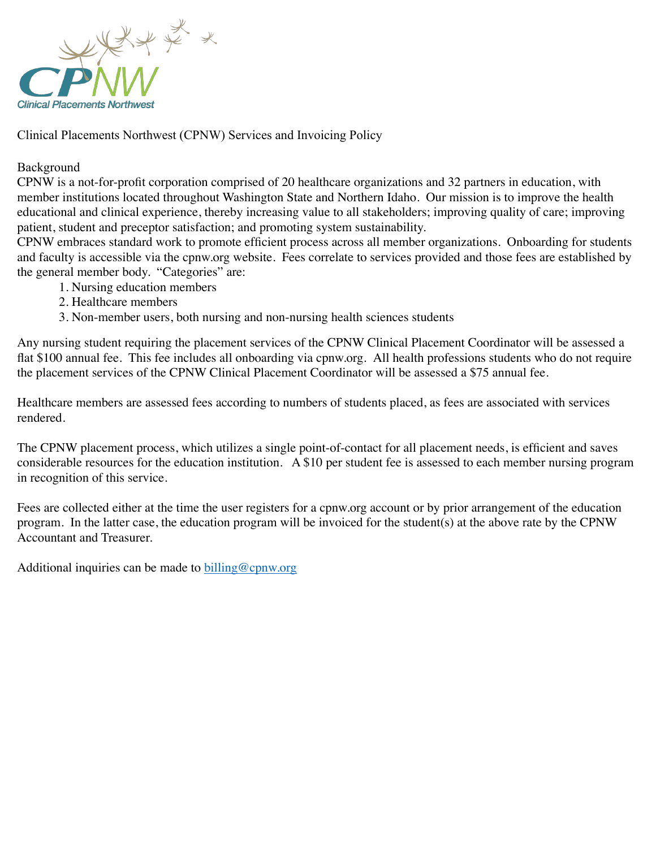

Clinical Placements Northwest (CPNW) Services and Invoicing Policy

## Background

CPNW is a not-for-profit corporation comprised of 20 healthcare organizations and 32 partners in education, with member institutions located throughout Washington State and Northern Idaho. Our mission is to improve the health educational and clinical experience, thereby increasing value to all stakeholders; improving quality of care; improving patient, student and preceptor satisfaction; and promoting system sustainability.

CPNW embraces standard work to promote efficient process across all member organizations. Onboarding for students and faculty is accessible via the cpnw.org website. Fees correlate to services provided and those fees are established by the general member body. "Categories" are:

- 1. Nursing education members
- 2. Healthcare members
- 3. Non-member users, both nursing and non-nursing health sciences students

Any nursing student requiring the placement services of the CPNW Clinical Placement Coordinator will be assessed a flat \$100 annual fee. This fee includes all onboarding via cpnw.org. All health professions students who do not require the placement services of the CPNW Clinical Placement Coordinator will be assessed a \$75 annual fee.

Healthcare members are assessed fees according to numbers of students placed, as fees are associated with services rendered.

The CPNW placement process, which utilizes a single point-of-contact for all placement needs, is efficient and saves considerable resources for the education institution. A \$10 per student fee is assessed to each member nursing program in recognition of this service.

Fees are collected either at the time the user registers for a cpnw.org account or by prior arrangement of the education program. In the latter case, the education program will be invoiced for the student(s) at the above rate by the CPNW Accountant and Treasurer.

Additional inquiries can be made to [billing@cpnw.org](mailto:billing@cpnw.org)